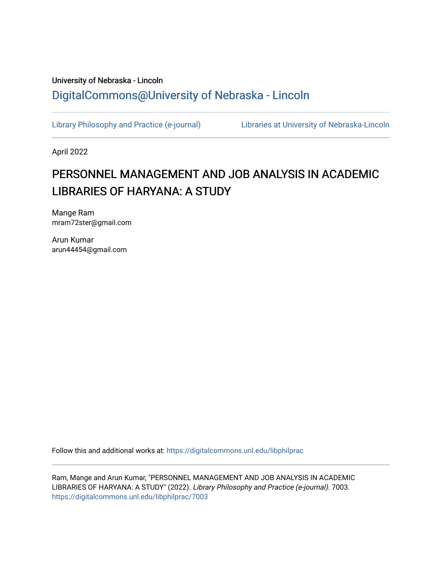## University of Nebraska - Lincoln [DigitalCommons@University of Nebraska - Lincoln](https://digitalcommons.unl.edu/)

[Library Philosophy and Practice \(e-journal\)](https://digitalcommons.unl.edu/libphilprac) [Libraries at University of Nebraska-Lincoln](https://digitalcommons.unl.edu/libraries) 

April 2022

# PERSONNEL MANAGEMENT AND JOB ANALYSIS IN ACADEMIC LIBRARIES OF HARYANA: A STUDY

Mange Ram mram72ster@gmail.com

Arun Kumar arun44454@gmail.com

Follow this and additional works at: [https://digitalcommons.unl.edu/libphilprac](https://digitalcommons.unl.edu/libphilprac?utm_source=digitalcommons.unl.edu%2Flibphilprac%2F7003&utm_medium=PDF&utm_campaign=PDFCoverPages) 

Ram, Mange and Arun Kumar, "PERSONNEL MANAGEMENT AND JOB ANALYSIS IN ACADEMIC LIBRARIES OF HARYANA: A STUDY" (2022). Library Philosophy and Practice (e-journal). 7003. [https://digitalcommons.unl.edu/libphilprac/7003](https://digitalcommons.unl.edu/libphilprac/7003?utm_source=digitalcommons.unl.edu%2Flibphilprac%2F7003&utm_medium=PDF&utm_campaign=PDFCoverPages)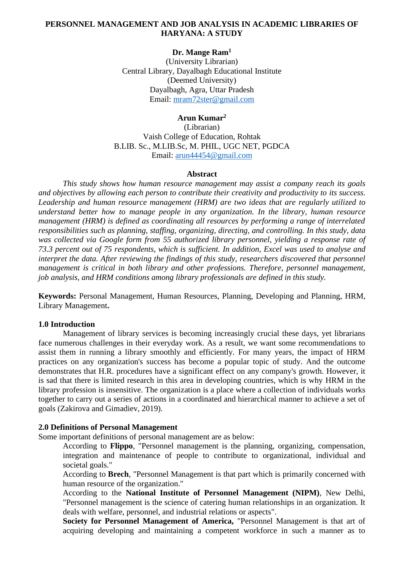### **PERSONNEL MANAGEMENT AND JOB ANALYSIS IN ACADEMIC LIBRARIES OF HARYANA: A STUDY**

### **Dr. Mange Ram<sup>1</sup>**

(University Librarian) Central Library, Dayalbagh Educational Institute (Deemed University) Dayalbagh, Agra, Uttar Pradesh Email: [mram72ster@gmail.com](mailto:mram72ster@gmail.com)

### **Arun Kumar<sup>2</sup>**

(Librarian) Vaish College of Education, Rohtak B.LIB. Sc., M.LIB.Sc, M. PHIL, UGC NET, PGDCA Email: [arun44454@gmail.com](mailto:arun44454@gmail.com)

#### **Abstract**

*This study shows how human resource management may assist a company reach its goals and objectives by allowing each person to contribute their creativity and productivity to its success. Leadership and human resource management (HRM) are two ideas that are regularly utilized to understand better how to manage people in any organization. In the library, human resource management (HRM) is defined as coordinating all resources by performing a range of interrelated responsibilities such as planning, staffing, organizing, directing, and controlling. In this study, data was collected via Google form from 55 authorized library personnel, yielding a response rate of 73.3 percent out of 75 respondents, which is sufficient. In addition, Excel was used to analyse and interpret the data. After reviewing the findings of this study, researchers discovered that personnel management is critical in both library and other professions. Therefore, personnel management, job analysis, and HRM conditions among library professionals are defined in this study.*

**Keywords:** Personal Management, Human Resources, Planning, Developing and Planning, HRM, Library Management**.**

#### **1.0 Introduction**

Management of library services is becoming increasingly crucial these days, yet librarians face numerous challenges in their everyday work. As a result, we want some recommendations to assist them in running a library smoothly and efficiently. For many years, the impact of HRM practices on any organization's success has become a popular topic of study. And the outcome demonstrates that H.R. procedures have a significant effect on any company's growth. However, it is sad that there is limited research in this area in developing countries, which is why HRM in the library profession is insensitive. The organization is a place where a collection of individuals works together to carry out a series of actions in a coordinated and hierarchical manner to achieve a set of goals (Zakirova and Gimadiev, 2019).

#### **2.0 Definitions of Personal Management**

Some important definitions of personal management are as below:

According to **Flippo**, "Personnel management is the planning, organizing, compensation, integration and maintenance of people to contribute to organizational, individual and societal goals."

According to **Brech**, "Personnel Management is that part which is primarily concerned with human resource of the organization."

According to the **National Institute of Personnel Management (NIPM)**, New Delhi, "Personnel management is the science of catering human relationships in an organization. It deals with welfare, personnel, and industrial relations or aspects".

**Society for Personnel Management of America,** "Personnel Management is that art of acquiring developing and maintaining a competent workforce in such a manner as to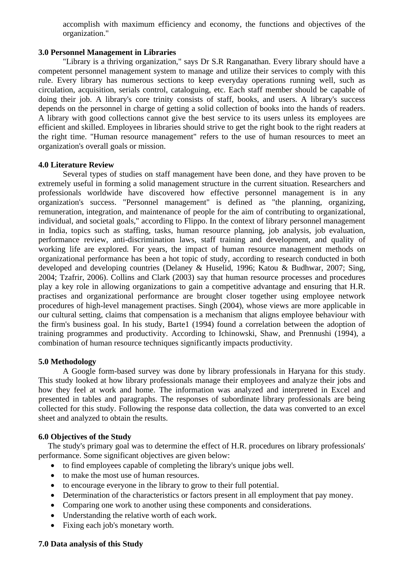accomplish with maximum efficiency and economy, the functions and objectives of the organization."

### **3.0 Personnel Management in Libraries**

"Library is a thriving organization," says Dr S.R Ranganathan. Every library should have a competent personnel management system to manage and utilize their services to comply with this rule. Every library has numerous sections to keep everyday operations running well, such as circulation, acquisition, serials control, cataloguing, etc. Each staff member should be capable of doing their job. A library's core trinity consists of staff, books, and users. A library's success depends on the personnel in charge of getting a solid collection of books into the hands of readers. A library with good collections cannot give the best service to its users unless its employees are efficient and skilled. Employees in libraries should strive to get the right book to the right readers at the right time. "Human resource management" refers to the use of human resources to meet an organization's overall goals or mission.

#### **4.0 Literature Review**

Several types of studies on staff management have been done, and they have proven to be extremely useful in forming a solid management structure in the current situation. Researchers and professionals worldwide have discovered how effective personnel management is in any organization's success. "Personnel management" is defined as "the planning, organizing, remuneration, integration, and maintenance of people for the aim of contributing to organizational, individual, and societal goals," according to Flippo. In the context of library personnel management in India, topics such as staffing, tasks, human resource planning, job analysis, job evaluation, performance review, anti-discrimination laws, staff training and development, and quality of working life are explored. For years, the impact of human resource management methods on organizational performance has been a hot topic of study, according to research conducted in both developed and developing countries (Delaney & Huselid, 1996; Katou & Budhwar, 2007; Sing, 2004; Tzafrir, 2006). Collins and Clark (2003) say that human resource processes and procedures play a key role in allowing organizations to gain a competitive advantage and ensuring that H.R. practises and organizational performance are brought closer together using employee network procedures of high-level management practises. Singh (2004), whose views are more applicable in our cultural setting, claims that compensation is a mechanism that aligns employee behaviour with the firm's business goal. In his study, Barte1 (1994) found a correlation between the adoption of training programmes and productivity. According to Ichinowski, Shaw, and Prennushi (1994), a combination of human resource techniques significantly impacts productivity.

### **5.0 Methodology**

A Google form-based survey was done by library professionals in Haryana for this study. This study looked at how library professionals manage their employees and analyze their jobs and how they feel at work and home. The information was analyzed and interpreted in Excel and presented in tables and paragraphs. The responses of subordinate library professionals are being collected for this study. Following the response data collection, the data was converted to an excel sheet and analyzed to obtain the results.

### **6.0 Objectives of the Study**

The study's primary goal was to determine the effect of H.R. procedures on library professionals' performance. Some significant objectives are given below:

- to find employees capable of completing the library's unique jobs well.
- to make the most use of human resources.
- to encourage everyone in the library to grow to their full potential.
- Determination of the characteristics or factors present in all employment that pay money.
- Comparing one work to another using these components and considerations.
- Understanding the relative worth of each work.
- Fixing each job's monetary worth.

### **7.0 Data analysis of this Study**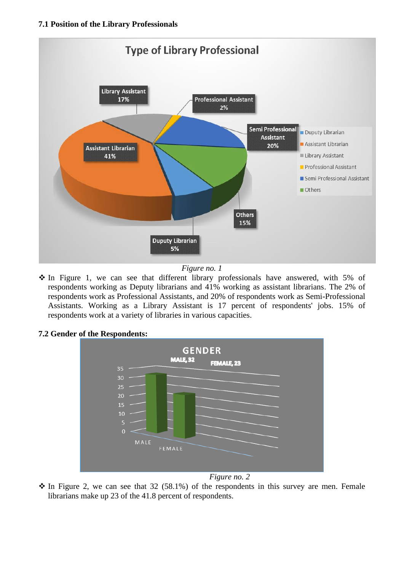### **7.1 Position of the Library Professionals**



*Figure no. 1*

❖ In Figure 1, we can see that different library professionals have answered, with 5% of respondents working as Deputy librarians and 41% working as assistant librarians. The 2% of respondents work as Professional Assistants, and 20% of respondents work as Semi-Professional Assistants. Working as a Library Assistant is 17 percent of respondents' jobs. 15% of respondents work at a variety of libraries in various capacities.

### **7.2 Gender of the Respondents:**



 $\hat{\cdot}$  In Figure 2, we can see that 32 (58.1%) of the respondents in this survey are men. Female librarians make up 23 of the 41.8 percent of respondents.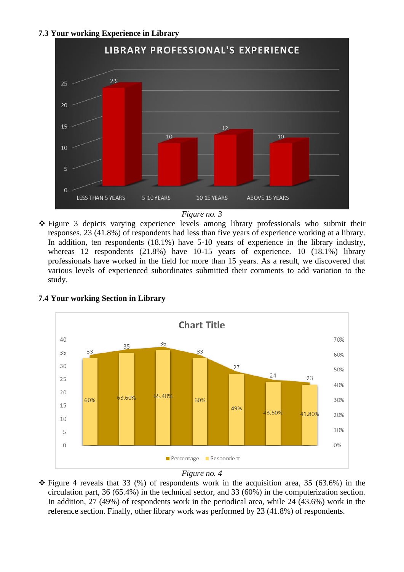### **7.3 Your working Experience in Library**



*Figure no. 3*

❖ Figure 3 depicts varying experience levels among library professionals who submit their responses. 23 (41.8%) of respondents had less than five years of experience working at a library. In addition, ten respondents (18.1%) have 5-10 years of experience in the library industry, whereas 12 respondents (21.8%) have 10-15 years of experience. 10 (18.1%) library professionals have worked in the field for more than 15 years. As a result, we discovered that various levels of experienced subordinates submitted their comments to add variation to the study.



### **7.4 Your working Section in Library**

*Figure no. 4*

 $\hat{\mathbf{\cdot}}$  Figure 4 reveals that 33 (%) of respondents work in the acquisition area, 35 (63.6%) in the circulation part, 36 (65.4%) in the technical sector, and 33 (60%) in the computerization section. In addition, 27 (49%) of respondents work in the periodical area, while 24 (43.6%) work in the reference section. Finally, other library work was performed by 23 (41.8%) of respondents.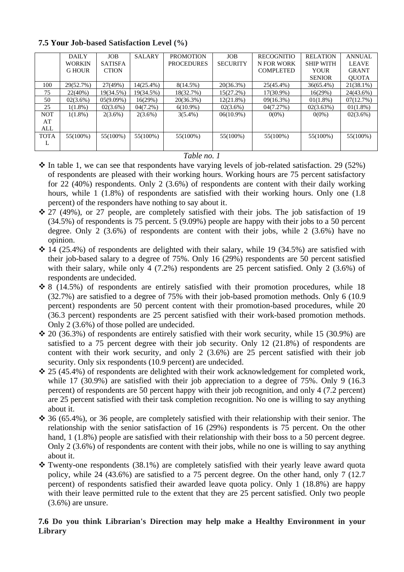|             | <b>DAILY</b>  | <b>JOB</b>     | <b>SALARY</b> | <b>PROMOTION</b>  | <b>JOB</b>      | <b>RECOGNITIO</b> | <b>RELATION</b>  | <b>ANNUAL</b> |
|-------------|---------------|----------------|---------------|-------------------|-----------------|-------------------|------------------|---------------|
|             | <b>WORKIN</b> | <b>SATISFA</b> |               | <b>PROCEDURES</b> | <b>SECURITY</b> | N FOR WORK        | <b>SHIP WITH</b> | <b>LEAVE</b>  |
|             | <b>G HOUR</b> | <b>CTION</b>   |               |                   |                 | <b>COMPLETED</b>  | YOUR             | <b>GRANT</b>  |
|             |               |                |               |                   |                 |                   | <b>SENIOR</b>    | <b>OUOTA</b>  |
| 100         | 29(52.7%)     | 27(49%)        | $14(25.4\%)$  | $8(14.5\%)$       | 20(36.3%)       | 25(45.4%)         | 36(65.4%)        | $21(38.1\%)$  |
| 75          | 22(40%)       | 19(34.5%)      | 19(34.5%)     | 18(32.7%)         | 15(27.2%)       | 17(30.9%)         | 16(29%)          | 24(43.6%)     |
| 50          | $02(3.6\%)$   | $05(9.09\%)$   | 16(29%)       | 20(36.3%)         | 12(21.8%)       | $09(16.3\%)$      | $01(1.8\%)$      | 07(12.7%)     |
| 25          | $1(1.8\%)$    | $02(3.6\%)$    | $04(7.2\%)$   | $6(10.9\%)$       | $02(3.6\%)$     | 04(7.27%)         | 02(3.63%)        | $01(1.8\%)$   |
| <b>NOT</b>  | $1(1.8\%)$    | $2(3.6\%)$     | $2(3.6\%)$    | $3(5.4\%)$        | $06(10.9\%)$    | $0(0\%)$          | $0(0\%)$         | 02(3.6%)      |
| AT          |               |                |               |                   |                 |                   |                  |               |
| ALL         |               |                |               |                   |                 |                   |                  |               |
| <b>TOTA</b> | 55(100%)      | 55(100%)       | 55(100%)      | 55(100%)          | 55(100%)        | 55(100%)          | 55(100%)         | $55(100\%)$   |
| л.          |               |                |               |                   |                 |                   |                  |               |
|             |               |                |               |                   |                 |                   |                  |               |

### **7.5 Your Job-based Satisfaction Level (%)**

### *Table no. 1*

- $\cdot \cdot$  In table 1, we can see that respondents have varying levels of job-related satisfaction. 29 (52%) of respondents are pleased with their working hours. Working hours are 75 percent satisfactory for 22 (40%) respondents. Only 2 (3.6%) of respondents are content with their daily working hours, while 1 (1.8%) of respondents are satisfied with their working hours. Only one (1.8) percent) of the responders have nothing to say about it.
- ❖ 27 (49%), or 27 people, are completely satisfied with their jobs. The job satisfaction of 19 (34.5%) of respondents is 75 percent. 5 (9.09%) people are happy with their jobs to a 50 percent degree. Only 2 (3.6%) of respondents are content with their jobs, while 2 (3.6%) have no opinion.
- $\div$  14 (25.4%) of respondents are delighted with their salary, while 19 (34.5%) are satisfied with their job-based salary to a degree of 75%. Only 16 (29%) respondents are 50 percent satisfied with their salary, while only 4 (7.2%) respondents are 25 percent satisfied. Only 2 (3.6%) of respondents are undecided.
- ❖ 8 (14.5%) of respondents are entirely satisfied with their promotion procedures, while 18 (32.7%) are satisfied to a degree of 75% with their job-based promotion methods. Only 6 (10.9 percent) respondents are 50 percent content with their promotion-based procedures, while 20 (36.3 percent) respondents are 25 percent satisfied with their work-based promotion methods. Only 2 (3.6%) of those polled are undecided.
- $\div$  20 (36.3%) of respondents are entirely satisfied with their work security, while 15 (30.9%) are satisfied to a 75 percent degree with their job security. Only 12 (21.8%) of respondents are content with their work security, and only 2 (3.6%) are 25 percent satisfied with their job security. Only six respondents (10.9 percent) are undecided.
- $\div$  25 (45.4%) of respondents are delighted with their work acknowledgement for completed work, while 17 (30.9%) are satisfied with their job appreciation to a degree of 75%. Only 9 (16.3) percent) of respondents are 50 percent happy with their job recognition, and only 4 (7.2 percent) are 25 percent satisfied with their task completion recognition. No one is willing to say anything about it.
- ❖ 36 (65.4%), or 36 people, are completely satisfied with their relationship with their senior. The relationship with the senior satisfaction of 16 (29%) respondents is 75 percent. On the other hand, 1 (1.8%) people are satisfied with their relationship with their boss to a 50 percent degree. Only 2 (3.6%) of respondents are content with their jobs, while no one is willing to say anything about it.
- ❖ Twenty-one respondents (38.1%) are completely satisfied with their yearly leave award quota policy, while 24 (43.6%) are satisfied to a 75 percent degree. On the other hand, only 7 (12.7 percent) of respondents satisfied their awarded leave quota policy. Only 1 (18.8%) are happy with their leave permitted rule to the extent that they are 25 percent satisfied. Only two people (3.6%) are unsure.

### **7.6 Do you think Librarian's Direction may help make a Healthy Environment in your Library**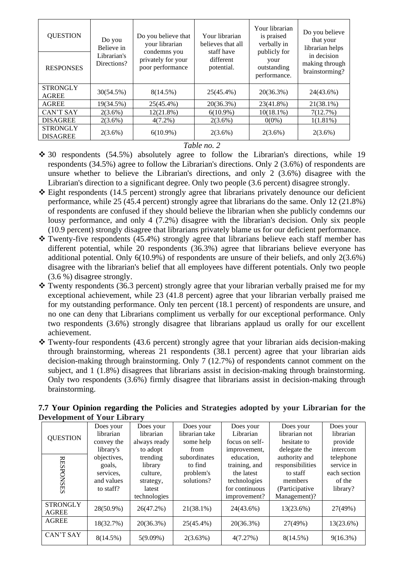| <b>QUESTION</b>                    | Do you<br>Believe in       | Do you believe that<br>your librarian                  | Your librarian<br>believes that all   | Your librarian<br>is praised<br>verbally in         | Do you believe<br>that your<br>librarian helps  |  |
|------------------------------------|----------------------------|--------------------------------------------------------|---------------------------------------|-----------------------------------------------------|-------------------------------------------------|--|
| <b>RESPONSES</b>                   | Librarian's<br>Directions? | condemns you<br>privately for your<br>poor performance | staff have<br>different<br>potential. | publicly for<br>your<br>outstanding<br>performance. | in decision<br>making through<br>brainstorming? |  |
| <b>STRONGLY</b><br><b>AGREE</b>    | 30(54.5%)                  | $8(14.5\%)$                                            | 25(45.4%)                             | $20(36.3\%)$                                        | 24(43.6%)                                       |  |
| <b>AGREE</b>                       | 19(34.5%)                  | 25(45.4%)                                              | 20(36.3%)                             | 23(41.8%)                                           | 21(38.1%)                                       |  |
| CAN'T SAY                          | $2(3.6\%)$                 | $12(21.8\%)$                                           | $6(10.9\%)$                           | $10(18.1\%)$                                        | 7(12.7%)                                        |  |
| <b>DISAGREE</b>                    | $2(3.6\%)$                 | $4(7.2\%)$                                             | $2(3.6\%)$                            | $0(0\%)$                                            | $1(1.81\%)$                                     |  |
| <b>STRONGLY</b><br><b>DISAGREE</b> | $2(3.6\%)$                 | $6(10.9\%)$                                            | $2(3.6\%)$                            | $2(3.6\%)$                                          | $2(3.6\%)$                                      |  |

#### *Table no. 2*

- ❖ 30 respondents (54.5%) absolutely agree to follow the Librarian's directions, while 19 respondents (34.5%) agree to follow the Librarian's directions. Only 2 (3.6%) of respondents are unsure whether to believe the Librarian's directions, and only 2 (3.6%) disagree with the Librarian's direction to a significant degree. Only two people (3.6 percent) disagree strongly.
- ❖ Eight respondents (14.5 percent) strongly agree that librarians privately denounce our deficient performance, while 25 (45.4 percent) strongly agree that librarians do the same. Only 12 (21.8%) of respondents are confused if they should believe the librarian when she publicly condemns our lousy performance, and only 4 (7.2%) disagree with the librarian's decision. Only six people (10.9 percent) strongly disagree that librarians privately blame us for our deficient performance.
- ❖ Twenty-five respondents (45.4%) strongly agree that librarians believe each staff member has different potential, while 20 respondents (36.3%) agree that librarians believe everyone has additional potential. Only 6(10.9%) of respondents are unsure of their beliefs, and only 2(3.6%) disagree with the librarian's belief that all employees have different potentials. Only two people (3.6 %) disagree strongly.
- ❖ Twenty respondents (36.3 percent) strongly agree that your librarian verbally praised me for my exceptional achievement, while 23 (41.8 percent) agree that your librarian verbally praised me for my outstanding performance. Only ten percent (18.1 percent) of respondents are unsure, and no one can deny that Librarians compliment us verbally for our exceptional performance. Only two respondents (3.6%) strongly disagree that librarians applaud us orally for our excellent achievement.
- ❖ Twenty-four respondents (43.6 percent) strongly agree that your librarian aids decision-making through brainstorming, whereas 21 respondents (38.1 percent) agree that your librarian aids decision-making through brainstorming. Only 7 (12.7%) of respondents cannot comment on the subject, and 1 (1.8%) disagrees that librarians assist in decision-making through brainstorming. Only two respondents (3.6%) firmly disagree that librarians assist in decision-making through brainstorming.

| Development of Tour Library |             |              |                |                |                  |              |
|-----------------------------|-------------|--------------|----------------|----------------|------------------|--------------|
|                             | Does your   | Does your    | Does your      | Does your      | Does your        | Does your    |
| <b>QUESTION</b>             | librarian   | librarian    | librarian take | Librarian      | librarian not    | librarian    |
|                             | convey the  | always ready | some help      | focus on self- | hesitate to      | provide      |
|                             | library's   | to adopt     | from           | improvement,   | delegate the     | intercom     |
|                             | objectives, | trending     | subordinates   | education,     | authority and    | telephone    |
| <b>RESPONSES</b>            | goals,      | library      | to find        | training, and  | responsibilities | service in   |
|                             | services.   | culture.     | problem's      | the latest     | to staff         | each section |
|                             | and values  | strategy,    | solutions?     | technologies   | members          | of the       |
|                             | to staff?   | latest       |                | for continuous | (Participative   | library?     |
|                             |             | technologies |                | improvement?   | Management)?     |              |
| <b>STRONGLY</b>             | 28(50.9%)   | 26(47.2%)    | 21(38.1%)      | 24(43.6%)      | 13(23.6%)        | 27(49%)      |
| <b>AGREE</b>                |             |              |                |                |                  |              |
| <b>AGREE</b>                | 18(32.7%)   | 20(36.3%)    | 25(45.4%)      | 20(36.3%)      | 27(49%)          | 13(23.6%)    |
|                             |             |              |                |                |                  |              |
| CAN'T SAY                   | $8(14.5\%)$ | $5(9.09\%)$  | 2(3.63%)       | 4(7.27%)       | $8(14.5\%)$      | $9(16.3\%)$  |

### **7.7 Your Opinion regarding the Policies and Strategies adopted by your Librarian for the Development of Your Library**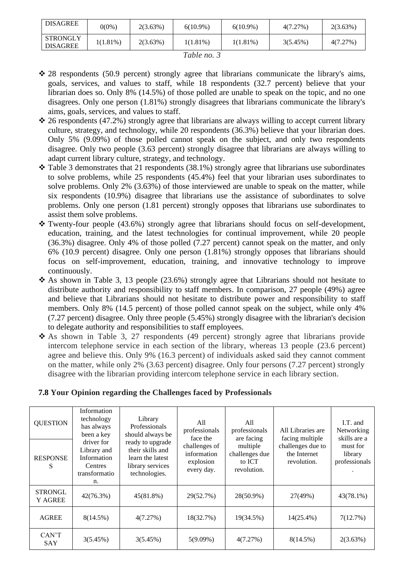| <b>DISAGREE</b>                    | 0(0%)       | $2(3.63\%)$ | $6(10.9\%)$ | $6(10.9\%)$ | 4(7.27%) | $2(3.63\%)$ |  |
|------------------------------------|-------------|-------------|-------------|-------------|----------|-------------|--|
| <b>STRONGLY</b><br><b>DISAGREE</b> | $1(1.81\%)$ | $2(3.63\%)$ | $1(1.81\%)$ | $1(1.81\%)$ | 3(5.45%) | 4(7.27%)    |  |
| T <sub>11</sub>                    |             |             |             |             |          |             |  |

*Table no. 3*

- ❖ 28 respondents (50.9 percent) strongly agree that librarians communicate the library's aims, goals, services, and values to staff, while 18 respondents (32.7 percent) believe that your librarian does so. Only 8% (14.5%) of those polled are unable to speak on the topic, and no one disagrees. Only one person (1.81%) strongly disagrees that librarians communicate the library's aims, goals, services, and values to staff.
- $\cdot$  26 respondents (47.2%) strongly agree that librarians are always willing to accept current library culture, strategy, and technology, while 20 respondents (36.3%) believe that your librarian does. Only 5% (9.09%) of those polled cannot speak on the subject, and only two respondents disagree. Only two people (3.63 percent) strongly disagree that librarians are always willing to adapt current library culture, strategy, and technology.
- $\cdot$  Table 3 demonstrates that 21 respondents (38.1%) strongly agree that librarians use subordinates to solve problems, while 25 respondents (45.4%) feel that your librarian uses subordinates to solve problems. Only 2% (3.63%) of those interviewed are unable to speak on the matter, while six respondents (10.9%) disagree that librarians use the assistance of subordinates to solve problems. Only one person (1.81 percent) strongly opposes that librarians use subordinates to assist them solve problems.
- ❖ Twenty-four people (43.6%) strongly agree that librarians should focus on self-development, education, training, and the latest technologies for continual improvement, while 20 people (36.3%) disagree. Only 4% of those polled (7.27 percent) cannot speak on the matter, and only 6% (10.9 percent) disagree. Only one person (1.81%) strongly opposes that librarians should focus on self-improvement, education, training, and innovative technology to improve continuously.
- ❖ As shown in Table 3, 13 people (23.6%) strongly agree that Librarians should not hesitate to distribute authority and responsibility to staff members. In comparison, 27 people (49%) agree and believe that Librarians should not hesitate to distribute power and responsibility to staff members. Only 8% (14.5 percent) of those polled cannot speak on the subject, while only 4% (7.27 percent) disagree. Only three people (5.45%) strongly disagree with the librarian's decision to delegate authority and responsibilities to staff employees.
- ❖ As shown in Table 3, 27 respondents (49 percent) strongly agree that librarians provide intercom telephone service in each section of the library, whereas 13 people (23.6 percent) agree and believe this. Only 9% (16.3 percent) of individuals asked said they cannot comment on the matter, while only 2% (3.63 percent) disagree. Only four persons (7.27 percent) strongly disagree with the librarian providing intercom telephone service in each library section.

### **7.8 Your Opinion regarding the Challenges faced by Professionals**

| <b>QUESTION</b>           | Information<br>technology<br>has always<br>been a key                      | Library<br>Professionals<br>should always be                                                  | All<br>professionals<br>face the                        | All<br>professionals<br>are facing                  | All Libraries are<br>facing multiple             | I.T. and<br>Networking                               |
|---------------------------|----------------------------------------------------------------------------|-----------------------------------------------------------------------------------------------|---------------------------------------------------------|-----------------------------------------------------|--------------------------------------------------|------------------------------------------------------|
| <b>RESPONSE</b><br>S      | driver for<br>Library and<br>Information<br>Centres<br>transformatio<br>n. | ready to upgrade<br>their skills and<br>learn the latest<br>library services<br>technologies. | challenges of<br>information<br>explosion<br>every day. | multiple<br>challenges due<br>to ICT<br>revolution. | challenges due to<br>the Internet<br>revolution. | skills are a<br>must for<br>library<br>professionals |
| <b>STRONGL</b><br>Y AGREE | 42(76.3%)                                                                  | $45(81.8\%)$                                                                                  | 29(52.7%)                                               | 28(50.9%)                                           | 27(49%)                                          | $43(78.1\%)$                                         |
| <b>AGREE</b>              | $8(14.5\%)$                                                                | 4(7.27%)                                                                                      | 18(32.7%)                                               | 19(34.5%)                                           | 14(25.4%)                                        | 7(12.7%)                                             |
| CAN'T<br>SAY              | 3(5.45%)                                                                   | 3(5.45%)                                                                                      | $5(9.09\%)$                                             | 4(7.27%)                                            | $8(14.5\%)$                                      | 2(3.63%)                                             |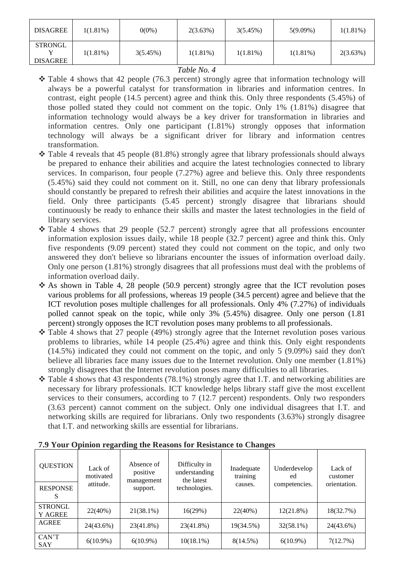| <b>DISAGREE</b>                   | $1(1.81\%)$ | $0(0\%)$ | 2(3.63%)    | 3(5.45%)    | $5(9.09\%)$ | $1(1.81\%)$ |
|-----------------------------------|-------------|----------|-------------|-------------|-------------|-------------|
| <b>STRONGL</b><br><b>DISAGREE</b> | $1(1.81\%)$ | 3(5.45%) | $1(1.81\%)$ | $1(1.81\%)$ | $1(1.81\%)$ | 2(3.63%)    |

### *Table No. 4*

- ❖ Table 4 shows that 42 people (76.3 percent) strongly agree that information technology will always be a powerful catalyst for transformation in libraries and information centres. In contrast, eight people (14.5 percent) agree and think this. Only three respondents (5.45%) of those polled stated they could not comment on the topic. Only 1% (1.81%) disagree that information technology would always be a key driver for transformation in libraries and information centres. Only one participant (1.81%) strongly opposes that information technology will always be a significant driver for library and information centres transformation.
- ❖ Table 4 reveals that 45 people (81.8%) strongly agree that library professionals should always be prepared to enhance their abilities and acquire the latest technologies connected to library services. In comparison, four people (7.27%) agree and believe this. Only three respondents (5.45%) said they could not comment on it. Still, no one can deny that library professionals should constantly be prepared to refresh their abilities and acquire the latest innovations in the field. Only three participants (5.45 percent) strongly disagree that librarians should continuously be ready to enhance their skills and master the latest technologies in the field of library services.
- ❖ Table 4 shows that 29 people (52.7 percent) strongly agree that all professions encounter information explosion issues daily, while 18 people (32.7 percent) agree and think this. Only five respondents (9.09 percent) stated they could not comment on the topic, and only two answered they don't believe so librarians encounter the issues of information overload daily. Only one person (1.81%) strongly disagrees that all professions must deal with the problems of information overload daily.
- ❖ As shown in Table 4, 28 people (50.9 percent) strongly agree that the ICT revolution poses various problems for all professions, whereas 19 people (34.5 percent) agree and believe that the ICT revolution poses multiple challenges for all professionals. Only 4% (7.27%) of individuals polled cannot speak on the topic, while only 3% (5.45%) disagree. Only one person (1.81 percent) strongly opposes the ICT revolution poses many problems to all professionals.
- ❖ Table 4 shows that 27 people (49%) strongly agree that the Internet revolution poses various problems to libraries, while 14 people (25.4%) agree and think this. Only eight respondents (14.5%) indicated they could not comment on the topic, and only 5 (9.09%) said they don't believe all libraries face many issues due to the Internet revolution. Only one member (1.81%) strongly disagrees that the Internet revolution poses many difficulties to all libraries.
- ❖ Table 4 shows that 43 respondents (78.1%) strongly agree that I.T. and networking abilities are necessary for library professionals. ICT knowledge helps library staff give the most excellent services to their consumers, according to 7 (12.7 percent) respondents. Only two responders (3.63 percent) cannot comment on the subject. Only one individual disagrees that I.T. and networking skills are required for librarians. Only two respondents (3.63%) strongly disagree that I.T. and networking skills are essential for librarians.

| <b>QUESTION</b>                  | Lack of<br>motivated<br>attitude. | Absence of<br>positive<br>management | Difficulty in<br>understanding<br>the latest | Inadequate<br>training | Underdevelop<br>ed | Lack of<br>customer |
|----------------------------------|-----------------------------------|--------------------------------------|----------------------------------------------|------------------------|--------------------|---------------------|
| <b>RESPONSE</b><br>S             |                                   | support.                             | technologies.                                | causes.                | competencies.      | orientation.        |
| <b>STRONGL</b><br><b>Y AGREE</b> | 22(40%)                           | $21(38.1\%)$                         | 16(29%)                                      | 22(40%)                | $12(21.8\%)$       | 18(32.7%)           |
| <b>AGREE</b>                     | 24(43.6%)                         | 23(41.8%)                            | 23(41.8%)                                    | 19(34.5%)              | $32(58.1\%)$       | 24(43.6%)           |
| CAN'T<br>SAY                     | $6(10.9\%)$                       | $6(10.9\%)$                          | $10(18.1\%)$                                 | $8(14.5\%)$            | $6(10.9\%)$        | 7(12.7%)            |

### **7.9 Your Opinion regarding the Reasons for Resistance to Changes**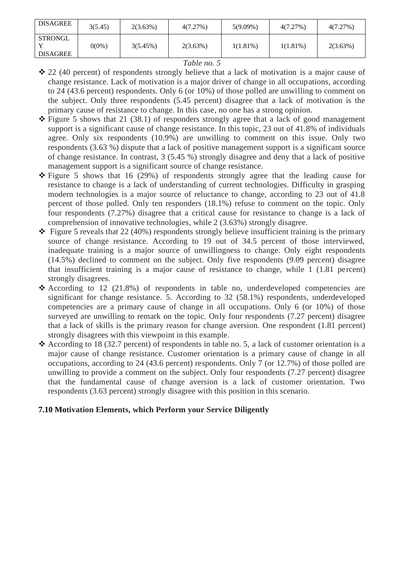| <b>DISAGREE</b>                   | 3(5.45)  | 2(3.63%) | 4(7.27%) | $5(9.09\%)$ | 4(7.27%)    | 4(7.27%) |
|-----------------------------------|----------|----------|----------|-------------|-------------|----------|
| <b>STRONGL</b><br><b>DISAGREE</b> | $0(0\%)$ | 3(5.45%) | 2(3.63%) | $1(1.81\%)$ | $1(1.81\%)$ | 2(3.63%) |

### *Table no. 5*

- ❖ 22 (40 percent) of respondents strongly believe that a lack of motivation is a major cause of change resistance. Lack of motivation is a major driver of change in all occupations, according to 24 (43.6 percent) respondents. Only 6 (or 10%) of those polled are unwilling to comment on the subject. Only three respondents (5.45 percent) disagree that a lack of motivation is the primary cause of resistance to change. In this case, no one has a strong opinion.
- ❖ Figure 5 shows that 21 (38.1) of responders strongly agree that a lack of good management support is a significant cause of change resistance. In this topic, 23 out of 41.8% of individuals agree. Only six respondents (10.9%) are unwilling to comment on this issue. Only two respondents (3.63 %) dispute that a lack of positive management support is a significant source of change resistance. In contrast, 3 (5.45 %) strongly disagree and deny that a lack of positive management support is a significant source of change resistance.
- ❖ Figure 5 shows that 16 (29%) of respondents strongly agree that the leading cause for resistance to change is a lack of understanding of current technologies. Difficulty in grasping modern technologies is a major source of reluctance to change, according to 23 out of 41.8 percent of those polled. Only ten responders (18.1%) refuse to comment on the topic. Only four respondents (7.27%) disagree that a critical cause for resistance to change is a lack of comprehension of innovative technologies, while 2 (3.63%) strongly disagree.
- $\triangleleft$  Figure 5 reveals that 22 (40%) respondents strongly believe insufficient training is the primary source of change resistance. According to 19 out of 34.5 percent of those interviewed, inadequate training is a major source of unwillingness to change. Only eight respondents (14.5%) declined to comment on the subject. Only five respondents (9.09 percent) disagree that insufficient training is a major cause of resistance to change, while 1 (1.81 percent) strongly disagrees.
- ❖ According to 12 (21.8%) of respondents in table no, underdeveloped competencies are significant for change resistance. 5. According to 32 (58.1%) respondents, underdeveloped competencies are a primary cause of change in all occupations. Only 6 (or 10%) of those surveyed are unwilling to remark on the topic. Only four respondents (7.27 percent) disagree that a lack of skills is the primary reason for change aversion. One respondent (1.81 percent) strongly disagrees with this viewpoint in this example.
- ❖ According to 18 (32.7 percent) of respondents in table no. 5, a lack of customer orientation is a major cause of change resistance. Customer orientation is a primary cause of change in all occupations, according to 24 (43.6 percent) respondents. Only 7 (or 12.7%) of those polled are unwilling to provide a comment on the subject. Only four respondents (7.27 percent) disagree that the fundamental cause of change aversion is a lack of customer orientation. Two respondents (3.63 percent) strongly disagree with this position in this scenario.

### **7.10 Motivation Elements, which Perform your Service Diligently**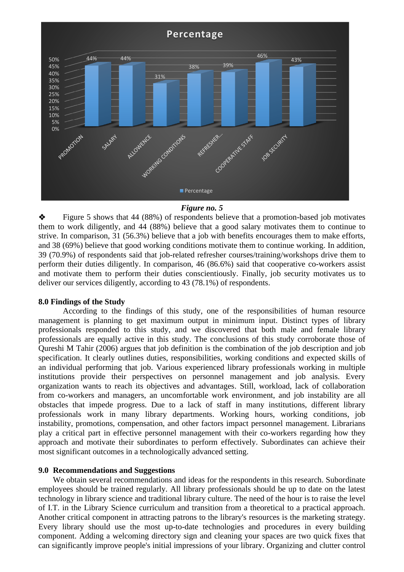

#### *Figure no. 5*

❖ Figure 5 shows that 44 (88%) of respondents believe that a promotion-based job motivates them to work diligently, and 44 (88%) believe that a good salary motivates them to continue to strive. In comparison, 31 (56.3%) believe that a job with benefits encourages them to make efforts, and 38 (69%) believe that good working conditions motivate them to continue working. In addition, 39 (70.9%) of respondents said that job-related refresher courses/training/workshops drive them to perform their duties diligently. In comparison, 46 (86.6%) said that cooperative co-workers assist and motivate them to perform their duties conscientiously. Finally, job security motivates us to deliver our services diligently, according to 43 (78.1%) of respondents.

#### **8.0 Findings of the Study**

According to the findings of this study, one of the responsibilities of human resource management is planning to get maximum output in minimum input. Distinct types of library professionals responded to this study, and we discovered that both male and female library professionals are equally active in this study. The conclusions of this study corroborate those of Qureshi M Tahir (2006) argues that job definition is the combination of the job description and job specification. It clearly outlines duties, responsibilities, working conditions and expected skills of an individual performing that job. Various experienced library professionals working in multiple institutions provide their perspectives on personnel management and job analysis. Every organization wants to reach its objectives and advantages. Still, workload, lack of collaboration from co-workers and managers, an uncomfortable work environment, and job instability are all obstacles that impede progress. Due to a lack of staff in many institutions, different library professionals work in many library departments. Working hours, working conditions, job instability, promotions, compensation, and other factors impact personnel management. Librarians play a critical part in effective personnel management with their co-workers regarding how they approach and motivate their subordinates to perform effectively. Subordinates can achieve their most significant outcomes in a technologically advanced setting.

#### **9.0 Recommendations and Suggestions**

We obtain several recommendations and ideas for the respondents in this research. Subordinate employees should be trained regularly. All library professionals should be up to date on the latest technology in library science and traditional library culture. The need of the hour is to raise the level of I.T. in the Library Science curriculum and transition from a theoretical to a practical approach. Another critical component in attracting patrons to the library's resources is the marketing strategy. Every library should use the most up-to-date technologies and procedures in every building component. Adding a welcoming directory sign and cleaning your spaces are two quick fixes that can significantly improve people's initial impressions of your library. Organizing and clutter control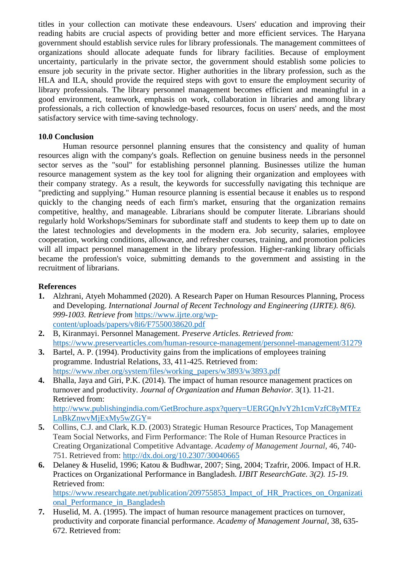titles in your collection can motivate these endeavours. Users' education and improving their reading habits are crucial aspects of providing better and more efficient services. The Haryana government should establish service rules for library professionals. The management committees of organizations should allocate adequate funds for library facilities. Because of employment uncertainty, particularly in the private sector, the government should establish some policies to ensure job security in the private sector. Higher authorities in the library profession, such as the HLA and ILA, should provide the required steps with govt to ensure the employment security of library professionals. The library personnel management becomes efficient and meaningful in a good environment, teamwork, emphasis on work, collaboration in libraries and among library professionals, a rich collection of knowledge-based resources, focus on users' needs, and the most satisfactory service with time-saving technology.

### **10.0 Conclusion**

Human resource personnel planning ensures that the consistency and quality of human resources align with the company's goals. Reflection on genuine business needs in the personnel sector serves as the "soul" for establishing personnel planning. Businesses utilize the human resource management system as the key tool for aligning their organization and employees with their company strategy. As a result, the keywords for successfully navigating this technique are "predicting and supplying." Human resource planning is essential because it enables us to respond quickly to the changing needs of each firm's market, ensuring that the organization remains competitive, healthy, and manageable. Librarians should be computer literate. Librarians should regularly hold Workshops/Seminars for subordinate staff and students to keep them up to date on the latest technologies and developments in the modern era. Job security, salaries, employee cooperation, working conditions, allowance, and refresher courses, training, and promotion policies will all impact personnel management in the library profession. Higher-ranking library officials became the profession's voice, submitting demands to the government and assisting in the recruitment of librarians.

### **References**

**1.** Alzhrani, Atyeh Mohammed (2020). A Research Paper on Human Resources Planning, Process and Developing. *International Journal of Recent Technology and Engineering (IJRTE). 8(6). 999-1003. Retrieve from* [https://www.ijrte.org/wp](https://www.ijrte.org/wp-content/uploads/papers/v8i6/F7550038620.pdf)[content/uploads/papers/v8i6/F7550038620.pdf](https://www.ijrte.org/wp-content/uploads/papers/v8i6/F7550038620.pdf)

**2.** B, Kiranmayi. Personnel Management. *Preserve Articles. Retrieved from:*  <https://www.preservearticles.com/human-resource-management/personnel-management/31279>

- **3.** Bartel, A. P. (1994). Productivity gains from the implications of employees training programme. Industrial Relations, 33, 411-425. Retrieved from: [https://www.nber.org/system/files/working\\_papers/w3893/w3893.pdf](https://www.nber.org/system/files/working_papers/w3893/w3893.pdf)
- **4.** Bhalla, Jaya and Giri, P.K. (2014). The impact of human resource management practices on turnover and productivity. *Journal of Organization and Human Behavior.* 3(1). 11-21. Retrieved from: [http://www.publishingindia.com/GetBrochure.aspx?query=UERGQnJvY2h1cmVzfC8yMTEz](http://www.publishingindia.com/GetBrochure.aspx?query=UERGQnJvY2h1cmVzfC8yMTEzLnBkZnwvMjExMy5wZGY) [LnBkZnwvMjExMy5wZGY=](http://www.publishingindia.com/GetBrochure.aspx?query=UERGQnJvY2h1cmVzfC8yMTEzLnBkZnwvMjExMy5wZGY)
- **5.** Collins, C.J. and Clark, K.D. (2003) Strategic Human Resource Practices, Top Management Team Social Networks, and Firm Performance: The Role of Human Resource Practices in Creating Organizational Competitive Advantage. *Academy of Management Journal*, 46, 740- 751. Retrieved from:<http://dx.doi.org/10.2307/30040665>
- **6.** Delaney & Huselid, 1996; Katou & Budhwar, 2007; Sing, 2004; Tzafrir, 2006. Impact of H.R. Practices on Organizational Performance in Bangladesh. *IJBIT ResearchGate. 3(2). 15-19.* Retrieved from:

[https://www.researchgate.net/publication/209755853\\_Impact\\_of\\_HR\\_Practices\\_on\\_Organizati](https://www.researchgate.net/publication/209755853_Impact_of_HR_Practices_on_Organizational_Performance_in_Bangladesh) onal Performance in Bangladesh

**7.** Huselid, M. A. (1995). The impact of human resource management practices on turnover, productivity and corporate financial performance. *Academy of Management Journal,* 38, 635- 672. Retrieved from: